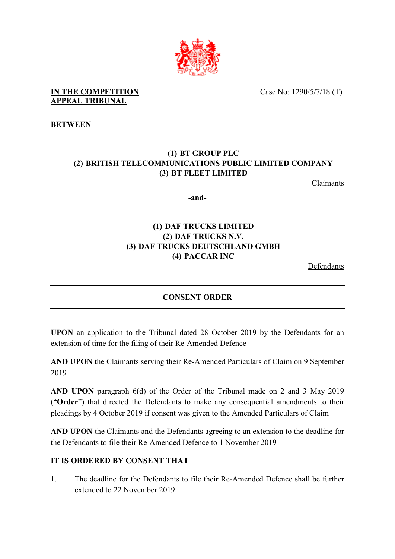

Case No: 1290/5/7/18 (T)

#### **IN THE COMPETITION APPEAL TRIBUNAL**

**BETWEEN**

# **(1) BT GROUP PLC (2) BRITISH TELECOMMUNICATIONS PUBLIC LIMITED COMPANY (3) BT FLEET LIMITED**

Claimants

**-and-** 

# **(1) DAF TRUCKS LIMITED (2) DAF TRUCKS N.V. (3) DAF TRUCKS DEUTSCHLAND GMBH (4) PACCAR INC**

Defendants

### **CONSENT ORDER**

**UPON** an application to the Tribunal dated 28 October 2019 by the Defendants for an extension of time for the filing of their Re-Amended Defence

**AND UPON** the Claimants serving their Re-Amended Particulars of Claim on 9 September 2019

**AND UPON** paragraph 6(d) of the Order of the Tribunal made on 2 and 3 May 2019 ("**Order**") that directed the Defendants to make any consequential amendments to their pleadings by 4 October 2019 if consent was given to the Amended Particulars of Claim

**AND UPON** the Claimants and the Defendants agreeing to an extension to the deadline for the Defendants to file their Re-Amended Defence to 1 November 2019

### **IT IS ORDERED BY CONSENT THAT**

1. The deadline for the Defendants to file their Re-Amended Defence shall be further extended to 22 November 2019.